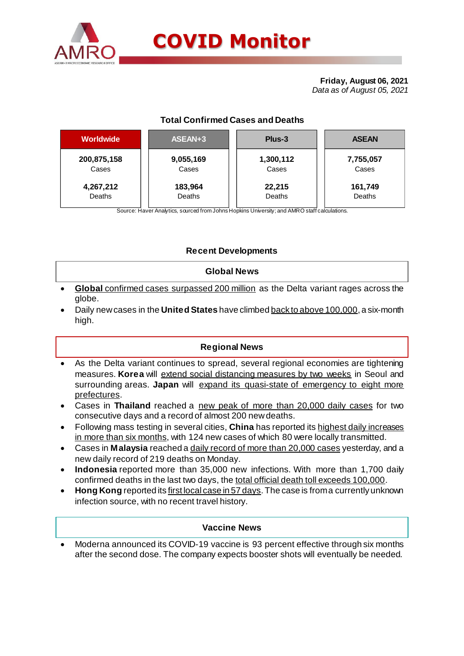

# **Total Confirmed Cases and Deaths**

| <b>Worldwide</b> | ASEAN+3   | Plus-3    | <b>ASEAN</b> |  |  |
|------------------|-----------|-----------|--------------|--|--|
| 200,875,158      | 9,055,169 | 1,300,112 | 7,755,057    |  |  |
| Cases            | Cases     | Cases     | Cases        |  |  |
| 4,267,212        | 183,964   | 22,215    | 161,749      |  |  |
| Deaths           | Deaths    | Deaths    | Deaths       |  |  |

Source: Haver Analytics, sourced from Johns Hopkins University; and AMRO staff calculations.

## **Recent Developments**

## **Global News**

- **Global** confirmed cases surpassed 200 million as the Delta variant rages across the globe.
- Daily new cases in the **United States** have climbed back to above 100,000, a six-month high.

## **Regional News**

- As the Delta variant continues to spread, several regional economies are tightening measures. **Korea** will extend social distancing measures by two weeks in Seoul and surrounding areas. **Japan** will expand its quasi-state of emergency to eight more prefectures.
- Cases in **Thailand** reached a new peak of more than 20,000 daily cases for two consecutive days and a record of almost 200 new deaths.
- Following mass testing in several cities, **China** has reported its highest daily increases in more than six months, with 124 new cases of which 80 were locally transmitted.
- Cases in **Malaysia** reached a daily record of more than 20,000 cases yesterday, and a new daily record of 219 deaths on Monday.
- **Indonesia** reported more than 35,000 new infections. With more than 1,700 daily confirmed deaths in the last two days, the total official death toll exceeds 100,000.
- **Hong Kong** reported its first local case in 57 days. The case is from a currently unknown infection source, with no recent travel history.

### **Vaccine News**

 Moderna announced its COVID-19 vaccine is 93 percent effective through six months after the second dose. The company expects booster shots will eventually be needed.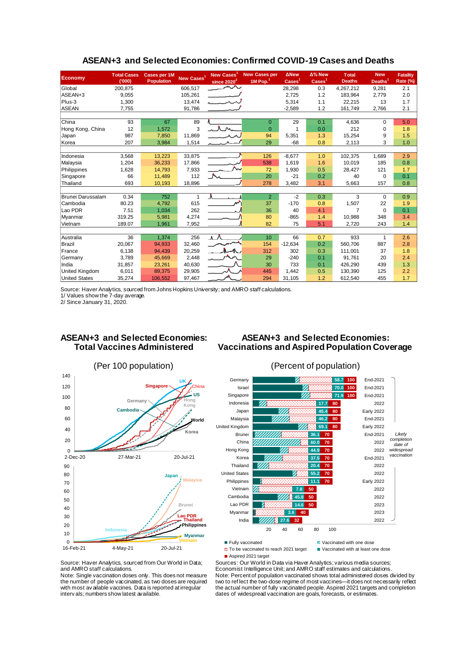| <b>Economy</b>       | <b>Total Cases</b><br>(000) | Cases per 1M<br><b>Population</b> | New Cases <sup>1</sup> | New Cases<br>since $2020^2$ | <b>New Cases per</b><br>1M Pop. $1$ | <b>ANew</b><br>$\text{Case}$ <sup>1</sup> | Δ% New<br>$\text{Case} \text{s}^1$ | <b>Total</b><br><b>Deaths</b> | <b>New</b><br>Deaths <sup>1</sup> | <b>Fatality</b><br>Rate (%) |
|----------------------|-----------------------------|-----------------------------------|------------------------|-----------------------------|-------------------------------------|-------------------------------------------|------------------------------------|-------------------------------|-----------------------------------|-----------------------------|
| Global               | 200,875                     |                                   | 606,517                | へへ                          |                                     | 28,298                                    | 0.3                                | 4,267,212                     | 9,281                             | 2.1                         |
| ASEAN+3              | 9.055                       |                                   | 105,261                |                             |                                     | 2,725                                     | 1.2                                | 183.964                       | 2,779                             | 2.0                         |
| Plus-3               | 1,300                       |                                   | 13,474                 | محب الم                     |                                     | 5,314                                     | 1.1                                | 22.215                        | 13                                | 1.7                         |
| <b>ASEAN</b>         | 7,755                       |                                   | 91,786                 |                             |                                     | $-2,589$                                  | 1.2                                | 161,749                       | 2,766                             | 2.1                         |
|                      |                             |                                   |                        |                             |                                     |                                           |                                    |                               |                                   |                             |
| China                | 93                          | 67                                | 89                     |                             | $\mathbf{0}$                        | 29                                        | 0.1                                | 4,636                         | $\Omega$                          | 5.0                         |
| Hong Kong, China     | 12                          | 1,572                             | 3                      | $\Lambda_{\rm{M}}$          | $\Omega$                            | 1                                         | 0.0                                | 212                           | $\Omega$                          | 1.8                         |
| Japan                | 987                         | 7,850                             | 11,869                 |                             | 94                                  | 5,351                                     | 1.3                                | 15,254                        | 9                                 | 1.5                         |
| Korea                | 207                         | 3,984                             | 1,514                  |                             | 29                                  | $-68$                                     | 0.8                                | 2,113                         | 3                                 | 1.0                         |
|                      |                             |                                   |                        |                             |                                     |                                           |                                    |                               |                                   |                             |
| Indonesia            | 3,568                       | 13.223                            | 33,875                 |                             | 126                                 | $-8,677$                                  | 1.0                                | 102,375                       | 1,689                             | 2.9                         |
| Malaysia             | 1,204                       | 36,233                            | 17.866                 |                             | 538                                 | 1.619                                     | 1.6                                | 10.019                        | 185                               | 0.8                         |
| Philippines          | 1,628                       | 14,793                            | 7,933                  |                             | 72                                  | 1,930                                     | 0.5                                | 28,427                        | 121                               | 1.7                         |
| Singapore            | 66                          | 11,489                            | 112                    |                             | 20                                  | $-21$                                     | 0.2                                | 40                            | $\Omega$                          | 0.1                         |
| Thailand             | 693                         | 10,193                            | 18,896                 |                             | 278                                 | 3,482                                     | 3.1                                | 5,663                         | 157                               | 0.8                         |
|                      |                             |                                   |                        |                             |                                     |                                           |                                    |                               |                                   |                             |
| Brunei Darussalam    | 0.34                        | 752                               | 1                      | A                           | $\overline{2}$                      | $-2$                                      | 0.3                                | 3                             | $\Omega$                          | 0.9                         |
| Cambodia             | 80.23                       | 4,792                             | 615                    | <b>N</b>                    | 37                                  | $-170$                                    | 0.8                                | 1,507                         | 22                                | 1.9                         |
| Lao PDR              | 7.51                        | 1,034                             | 262                    |                             | 36                                  | 40                                        | 4.1                                | $\overline{7}$                | $\Omega$                          | 0.1                         |
| Myanmar              | 319.25                      | 5,981                             | 4,274                  |                             | 80                                  | $-865$                                    | 1.4                                | 10.988                        | 348                               | 3.4                         |
| Vietnam              | 189.07                      | 1.961                             | 7,952                  |                             | 82                                  | 75                                        | 5.1                                | 2,720                         | 243                               | 1.4                         |
|                      |                             |                                   |                        |                             |                                     |                                           |                                    |                               |                                   |                             |
| Australia            | 36                          | 1,374                             | 256                    | ⋏⋏                          | 10 <sup>10</sup>                    | 66                                        | 0.7                                | 933                           | 1                                 | 2.6                         |
| <b>Brazil</b>        | 20,067                      | 94,933                            | 32,460                 |                             | 154                                 | $-12,634$                                 | 0.2                                | 560,706                       | 887                               | 2.8                         |
| France               | 6,138                       | 94,439                            | 20,259                 |                             | 312                                 | 302                                       | 0.3                                | 111,001                       | 37                                | 1.8                         |
| Germany              | 3,789                       | 45,669                            | 2,448                  | M                           | 29                                  | $-240$                                    | 0.1                                | 91,761                        | 20                                | 2.4                         |
| India                | 31,857                      | 23,261                            | 40,630                 |                             | 30                                  | 733                                       | 0.1                                | 426.290                       | 439                               | 1.3                         |
| United Kingdom       | 6,011                       | 89,375                            | 29,905                 |                             | 445                                 | 1,442                                     | 0.5                                | 130,390                       | 125                               | 2.2                         |
| <b>United States</b> | 35,274                      | 106,552                           | 97,467                 |                             | 294                                 | 31,105                                    | 1.2                                | 612,540                       | 455                               | 1.7                         |

#### **ASEAN+3 and Selected Economies: Confirmed COVID-19 Cases and Deaths**

Source: Haver Analytics, sourced from Johns Hopkins University; and AMRO staff calculations.

1/ Values show the 7-day average.

2/ Since January 31, 2020.

### **ASEAN+3 and Selected Economies: Total Vaccines Administered**

## **ASEAN+3 and Selected Economies: Vaccinations and Aspired Population Coverage**





Fully vaccinated Vaccinated Vaccinated With one dose<br>  $\Box$  To be vaccinated to reach 2021 target  $\Box$  Vaccinated with at least one dose

■ Aspired 2021 target

Sources: Our World in Data via Haver Analytics; various media sources;  $\Box$  To be vaccinated to reach 2021 target

Source: Haver Analytics, sourced from Our World in Data; and AMRO staff calculations. Note: Single vaccination doses only. This does not measure

the number of people vaccinated, as two doses are required with most av ailable vaccines. Data is reported at irregular interv als; numbers show latest available.

Economist Intelligence Unit; and AMRO staff estimates and calculations. Note: Percent of population vaccinated shows total administered doses divided by two to reflect the two-dose regime of most vaccines-it does not necessarily reflect the actual number of fully vaccinated people. Aspired 2021 targets and completion dates of widespread vaccination are goals, forecasts, or estimates.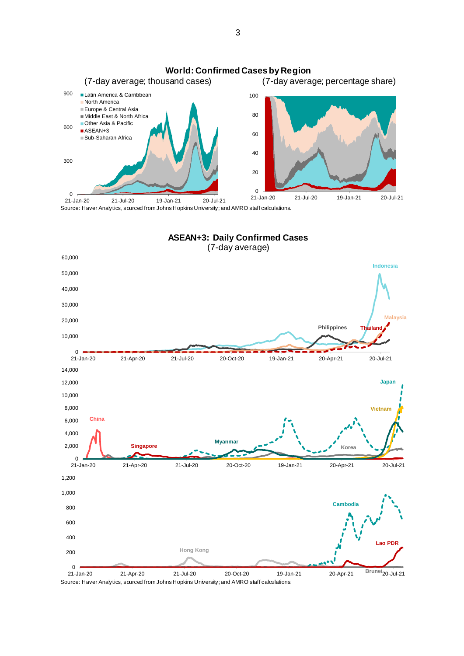

Source: Haver Analytics, sourced from Johns Hopkins University; and AMRO staff calculations.



Source: Haver Analytics, sourced from Johns Hopkins University; and AMRO staff calculations.

3